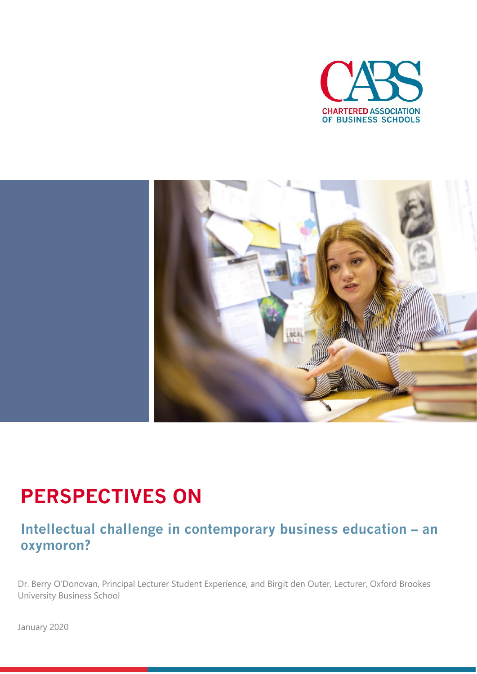



# **PERSPECTIVES ON**

# **Intellectual challenge in contemporary business education – an oxymoron?**

Dr. Berry O'Donovan, Principal Lecturer Student Experience, and Birgit den Outer, Lecturer, Oxford Brookes University Business School

January 2020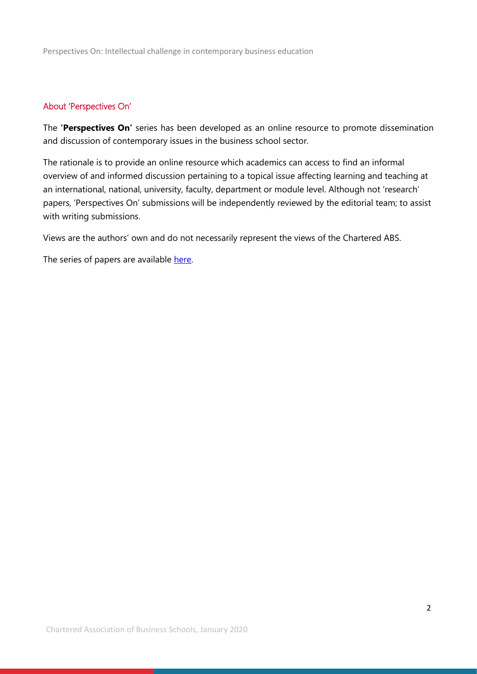Perspectives On: Intellectual challenge in contemporary business education

# About 'Perspectives On'

The **'Perspectives On'** series has been developed as an online resource to promote dissemination and discussion of contemporary issues in the business school sector.

The rationale is to provide an online resource which academics can access to find an informal overview of and informed discussion pertaining to a topical issue affecting learning and teaching at an international, national, university, faculty, department or module level. Although not 'research' papers, 'Perspectives On' submissions will be independently reviewed by the editorial team; to assist with writing submissions.

Views are the authors' own and do not necessarily represent the views of the Chartered ABS.

The series of papers are available [here.](https://charteredabs.org/publications_cats/perspectives-on/)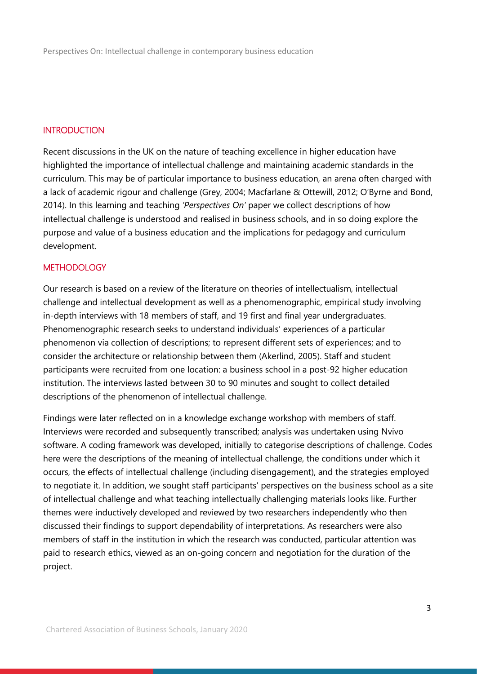# **INTRODUCTION**

Recent discussions in the UK on the nature of teaching excellence in higher education have highlighted the importance of intellectual challenge and maintaining academic standards in the curriculum. This may be of particular importance to business education, an arena often charged with a lack of academic rigour and challenge (Grey, 2004; Macfarlane & Ottewill, 2012; O'Byrne and Bond, 2014). In this learning and teaching *'Perspectives On'* paper we collect descriptions of how intellectual challenge is understood and realised in business schools, and in so doing explore the purpose and value of a business education and the implications for pedagogy and curriculum development.

## **METHODOLOGY**

Our research is based on a review of the literature on theories of intellectualism, intellectual challenge and intellectual development as well as a phenomenographic, empirical study involving in-depth interviews with 18 members of staff, and 19 first and final year undergraduates. Phenomenographic research seeks to understand individuals' experiences of a particular phenomenon via collection of descriptions; to represent different sets of experiences; and to consider the architecture or relationship between them (Akerlind, 2005). Staff and student participants were recruited from one location: a business school in a post-92 higher education institution. The interviews lasted between 30 to 90 minutes and sought to collect detailed descriptions of the phenomenon of intellectual challenge.

Findings were later reflected on in a knowledge exchange workshop with members of staff. Interviews were recorded and subsequently transcribed; analysis was undertaken using Nvivo software. A coding framework was developed, initially to categorise descriptions of challenge. Codes here were the descriptions of the meaning of intellectual challenge, the conditions under which it occurs, the effects of intellectual challenge (including disengagement), and the strategies employed to negotiate it. In addition, we sought staff participants' perspectives on the business school as a site of intellectual challenge and what teaching intellectually challenging materials looks like. Further themes were inductively developed and reviewed by two researchers independently who then discussed their findings to support dependability of interpretations. As researchers were also members of staff in the institution in which the research was conducted, particular attention was paid to research ethics, viewed as an on-going concern and negotiation for the duration of the project.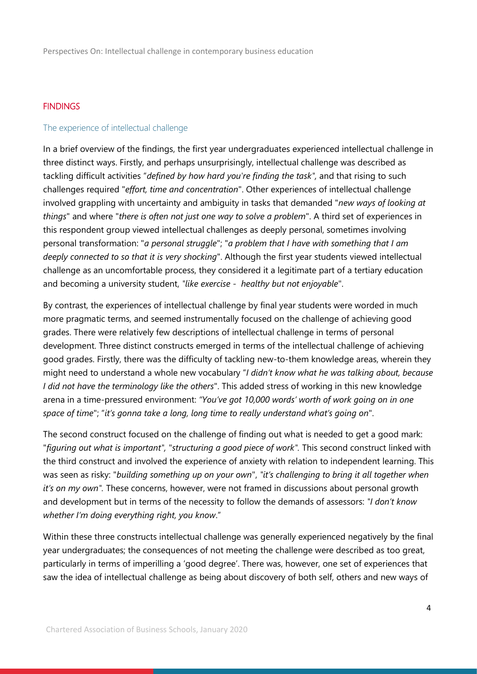Perspectives On: Intellectual challenge in contemporary business education

## **FINDINGS**

#### The experience of intellectual challenge

In a brief overview of the findings, the first year undergraduates experienced intellectual challenge in three distinct ways. Firstly, and perhaps unsurprisingly, intellectual challenge was described as tackling difficult activities "*defined by how hard you're finding the task",* and that rising to such challenges required "*effort, time and concentration*". Other experiences of intellectual challenge involved grappling with uncertainty and ambiguity in tasks that demanded "*new ways of looking at things*" and where "*there is often not just one way to solve a problem*". A third set of experiences in this respondent group viewed intellectual challenges as deeply personal, sometimes involving personal transformation: "*a personal struggle*"; "*a problem that I have with something that I am deeply connected to so that it is very shocking*". Although the first year students viewed intellectual challenge as an uncomfortable process, they considered it a legitimate part of a tertiary education and becoming a university student, *"like exercise - healthy but not enjoyable*".

By contrast, the experiences of intellectual challenge by final year students were worded in much more pragmatic terms, and seemed instrumentally focused on the challenge of achieving good grades. There were relatively few descriptions of intellectual challenge in terms of personal development. Three distinct constructs emerged in terms of the intellectual challenge of achieving good grades. Firstly, there was the difficulty of tackling new-to-them knowledge areas, wherein they might need to understand a whole new vocabulary "*I didn't know what he was talking about, because I did not have the terminology like the others*". This added stress of working in this new knowledge arena in a time-pressured environment: *"You've got 10,000 words' worth of work going on in one space of time*"; "*it's gonna take a long, long time to really understand what's going on*".

The second construct focused on the challenge of finding out what is needed to get a good mark: "*figuring out what is important",* "*structuring a good piece of work".* This second construct linked with the third construct and involved the experience of anxiety with relation to independent learning. This was seen as risky: "*building something up on your own*", *"it's challenging to bring it all together when it's on my own".* These concerns, however, were not framed in discussions about personal growth and development but in terms of the necessity to follow the demands of assessors: *"I don't know whether I'm doing everything right, you know*."

Within these three constructs intellectual challenge was generally experienced negatively by the final year undergraduates; the consequences of not meeting the challenge were described as too great, particularly in terms of imperilling a 'good degree'. There was, however, one set of experiences that saw the idea of intellectual challenge as being about discovery of both self, others and new ways of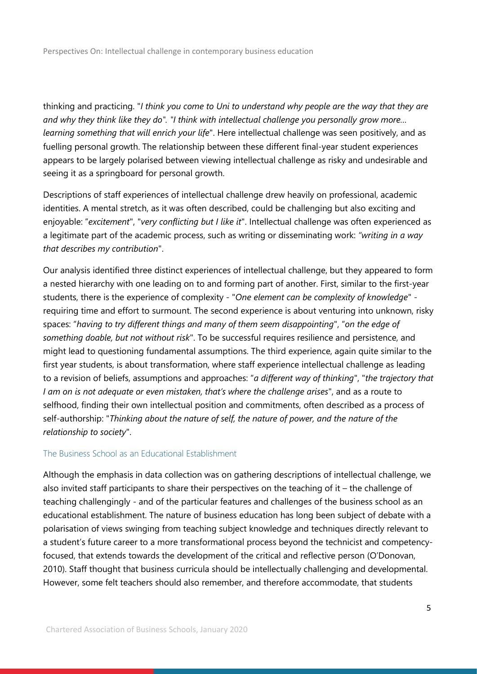thinking and practicing. "*I think you come to Uni to understand why people are the way that they are*  and why they think like they do". "I think with intellectual challenge you personally grow more... *learning something that will enrich your life*". Here intellectual challenge was seen positively, and as fuelling personal growth. The relationship between these different final-year student experiences appears to be largely polarised between viewing intellectual challenge as risky and undesirable and seeing it as a springboard for personal growth.

Descriptions of staff experiences of intellectual challenge drew heavily on professional, academic identities. A mental stretch, as it was often described, could be challenging but also exciting and enjoyable: "*excitement*", "*very conflicting but I like it*". Intellectual challenge was often experienced as a legitimate part of the academic process, such as writing or disseminating work: *"writing in a way that describes my contribution*".

Our analysis identified three distinct experiences of intellectual challenge, but they appeared to form a nested hierarchy with one leading on to and forming part of another. First, similar to the first-year students, there is the experience of complexity - "*One element can be complexity of knowledge*" requiring time and effort to surmount. The second experience is about venturing into unknown, risky spaces: "*having to try different things and many of them seem disappointing*", "*on the edge of something doable, but not without risk*". To be successful requires resilience and persistence, and might lead to questioning fundamental assumptions. The third experience, again quite similar to the first year students, is about transformation, where staff experience intellectual challenge as leading to a revision of beliefs, assumptions and approaches: "*a different way of thinking*", "*the trajectory that I am on is not adequate or even mistaken, that's where the challenge arises*", and as a route to selfhood, finding their own intellectual position and commitments, often described as a process of self-authorship: "*Thinking about the nature of self, the nature of power, and the nature of the relationship to society*".

# The Business School as an Educational Establishment

Although the emphasis in data collection was on gathering descriptions of intellectual challenge, we also invited staff participants to share their perspectives on the teaching of it – the challenge of teaching challengingly - and of the particular features and challenges of the business school as an educational establishment. The nature of business education has long been subject of debate with a polarisation of views swinging from teaching subject knowledge and techniques directly relevant to a student's future career to a more transformational process beyond the technicist and competencyfocused, that extends towards the development of the critical and reflective person (O'Donovan, 2010). Staff thought that business curricula should be intellectually challenging and developmental. However, some felt teachers should also remember, and therefore accommodate, that students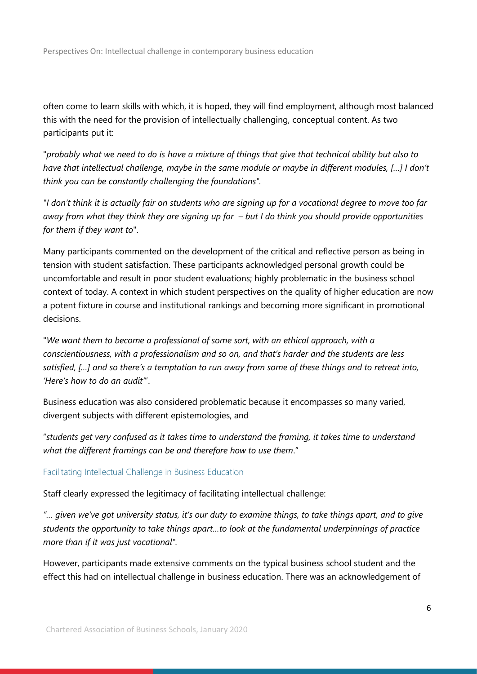often come to learn skills with which, it is hoped, they will find employment, although most balanced this with the need for the provision of intellectually challenging, conceptual content. As two participants put it:

"*probably what we need to do is have a mixture of things that give that technical ability but also to have that intellectual challenge, maybe in the same module or maybe in different modules, […] I don't think you can be constantly challenging the foundations".*

*"I don't think it is actually fair on students who are signing up for a vocational degree to move too far away from what they think they are signing up for – but I do think you should provide opportunities for them if they want to*".

Many participants commented on the development of the critical and reflective person as being in tension with student satisfaction. These participants acknowledged personal growth could be uncomfortable and result in poor student evaluations; highly problematic in the business school context of today. A context in which student perspectives on the quality of higher education are now a potent fixture in course and institutional rankings and becoming more significant in promotional decisions.

"*We want them to become a professional of some sort, with an ethical approach, with a conscientiousness, with a professionalism and so on, and that's harder and the students are less satisfied, […] and so there's a temptation to run away from some of these things and to retreat into, 'Here's how to do an audit'*".

Business education was also considered problematic because it encompasses so many varied, divergent subjects with different epistemologies, and

"*students get very confused as it takes time to understand the framing, it takes time to understand what the different framings can be and therefore how to use them*."

#### Facilitating Intellectual Challenge in Business Education

Staff clearly expressed the legitimacy of facilitating intellectual challenge:

*"… given we've got university status, it's our duty to examine things, to take things apart, and to give students the opportunity to take things apart…to look at the fundamental underpinnings of practice more than if it was just vocational".*

However, participants made extensive comments on the typical business school student and the effect this had on intellectual challenge in business education. There was an acknowledgement of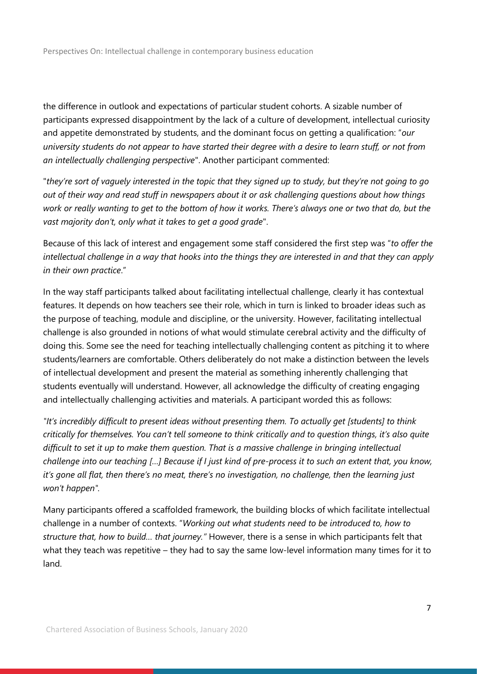the difference in outlook and expectations of particular student cohorts. A sizable number of participants expressed disappointment by the lack of a culture of development, intellectual curiosity and appetite demonstrated by students, and the dominant focus on getting a qualification: "*our university students do not appear to have started their degree with a desire to learn stuff, or not from an intellectually challenging perspective*". Another participant commented:

"*they're sort of vaguely interested in the topic that they signed up to study, but they're not going to go out of their way and read stuff in newspapers about it or ask challenging questions about how things work or really wanting to get to the bottom of how it works. There's always one or two that do, but the vast majority don't, only what it takes to get a good grade*".

Because of this lack of interest and engagement some staff considered the first step was "*to offer the intellectual challenge in a way that hooks into the things they are interested in and that they can apply in their own practice*."

In the way staff participants talked about facilitating intellectual challenge, clearly it has contextual features. It depends on how teachers see their role, which in turn is linked to broader ideas such as the purpose of teaching, module and discipline, or the university. However, facilitating intellectual challenge is also grounded in notions of what would stimulate cerebral activity and the difficulty of doing this. Some see the need for teaching intellectually challenging content as pitching it to where students/learners are comfortable. Others deliberately do not make a distinction between the levels of intellectual development and present the material as something inherently challenging that students eventually will understand. However, all acknowledge the difficulty of creating engaging and intellectually challenging activities and materials. A participant worded this as follows:

*"It's incredibly difficult to present ideas without presenting them. To actually get [students] to think critically for themselves. You can't tell someone to think critically and to question things, it's also quite difficult to set it up to make them question. That is a massive challenge in bringing intellectual challenge into our teaching […] Because if I just kind of pre-process it to such an extent that, you know, it's gone all flat, then there's no meat, there's no investigation, no challenge, then the learning just won't happen".* 

Many participants offered a scaffolded framework, the building blocks of which facilitate intellectual challenge in a number of contexts. "*Working out what students need to be introduced to, how to structure that, how to build… that journey."* However, there is a sense in which participants felt that what they teach was repetitive – they had to say the same low-level information many times for it to land.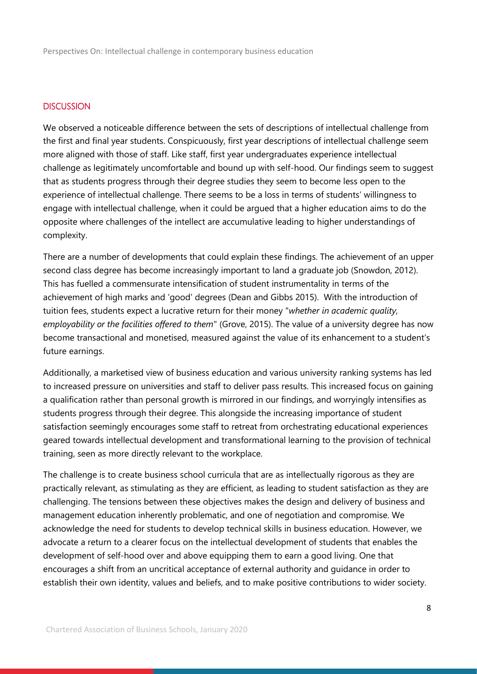# **DISCUSSION**

We observed a noticeable difference between the sets of descriptions of intellectual challenge from the first and final year students. Conspicuously, first year descriptions of intellectual challenge seem more aligned with those of staff. Like staff, first year undergraduates experience intellectual challenge as legitimately uncomfortable and bound up with self-hood. Our findings seem to suggest that as students progress through their degree studies they seem to become less open to the experience of intellectual challenge. There seems to be a loss in terms of students' willingness to engage with intellectual challenge, when it could be argued that a higher education aims to do the opposite where challenges of the intellect are accumulative leading to higher understandings of complexity.

There are a number of developments that could explain these findings. The achievement of an upper second class degree has become increasingly important to land a graduate job (Snowdon, 2012). This has fuelled a commensurate intensification of student instrumentality in terms of the achievement of high marks and 'good' degrees (Dean and Gibbs 2015). With the introduction of tuition fees, students expect a lucrative return for their money "*whether in academic quality, employability or the facilities offered to them*" (Grove, 2015). The value of a university degree has now become transactional and monetised, measured against the value of its enhancement to a student's future earnings.

Additionally, a marketised view of business education and various university ranking systems has led to increased pressure on universities and staff to deliver pass results. This increased focus on gaining a qualification rather than personal growth is mirrored in our findings, and worryingly intensifies as students progress through their degree. This alongside the increasing importance of student satisfaction seemingly encourages some staff to retreat from orchestrating educational experiences geared towards intellectual development and transformational learning to the provision of technical training, seen as more directly relevant to the workplace.

The challenge is to create business school curricula that are as intellectually rigorous as they are practically relevant, as stimulating as they are efficient, as leading to student satisfaction as they are challenging. The tensions between these objectives makes the design and delivery of business and management education inherently problematic, and one of negotiation and compromise. We acknowledge the need for students to develop technical skills in business education. However, we advocate a return to a clearer focus on the intellectual development of students that enables the development of self-hood over and above equipping them to earn a good living. One that encourages a shift from an uncritical acceptance of external authority and guidance in order to establish their own identity, values and beliefs, and to make positive contributions to wider society.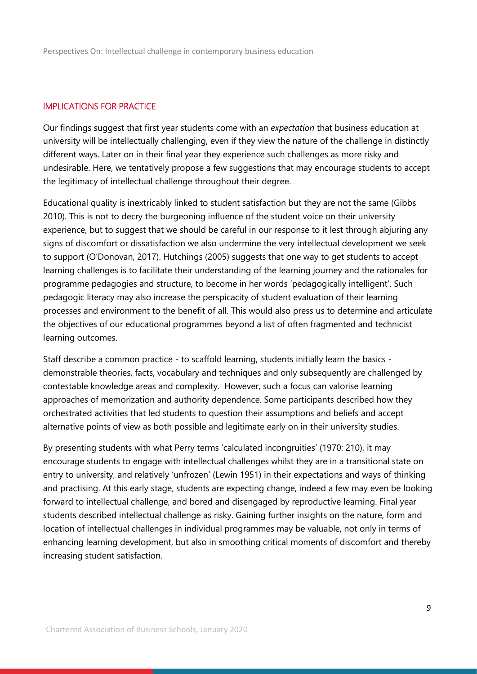# IMPLICATIONS FOR PRACTICE

Our findings suggest that first year students come with an *expectation* that business education at university will be intellectually challenging, even if they view the nature of the challenge in distinctly different ways. Later on in their final year they experience such challenges as more risky and undesirable. Here, we tentatively propose a few suggestions that may encourage students to accept the legitimacy of intellectual challenge throughout their degree.

Educational quality is inextricably linked to student satisfaction but they are not the same (Gibbs 2010). This is not to decry the burgeoning influence of the student voice on their university experience, but to suggest that we should be careful in our response to it lest through abjuring any signs of discomfort or dissatisfaction we also undermine the very intellectual development we seek to support (O'Donovan, 2017). Hutchings (2005) suggests that one way to get students to accept learning challenges is to facilitate their understanding of the learning journey and the rationales for programme pedagogies and structure, to become in her words 'pedagogically intelligent'. Such pedagogic literacy may also increase the perspicacity of student evaluation of their learning processes and environment to the benefit of all. This would also press us to determine and articulate the objectives of our educational programmes beyond a list of often fragmented and technicist learning outcomes.

Staff describe a common practice - to scaffold learning, students initially learn the basics demonstrable theories, facts, vocabulary and techniques and only subsequently are challenged by contestable knowledge areas and complexity. However, such a focus can valorise learning approaches of memorization and authority dependence. Some participants described how they orchestrated activities that led students to question their assumptions and beliefs and accept alternative points of view as both possible and legitimate early on in their university studies.

By presenting students with what Perry terms 'calculated incongruities' (1970: 210), it may encourage students to engage with intellectual challenges whilst they are in a transitional state on entry to university, and relatively 'unfrozen' (Lewin 1951) in their expectations and ways of thinking and practising. At this early stage, students are expecting change, indeed a few may even be looking forward to intellectual challenge, and bored and disengaged by reproductive learning. Final year students described intellectual challenge as risky. Gaining further insights on the nature, form and location of intellectual challenges in individual programmes may be valuable, not only in terms of enhancing learning development, but also in smoothing critical moments of discomfort and thereby increasing student satisfaction.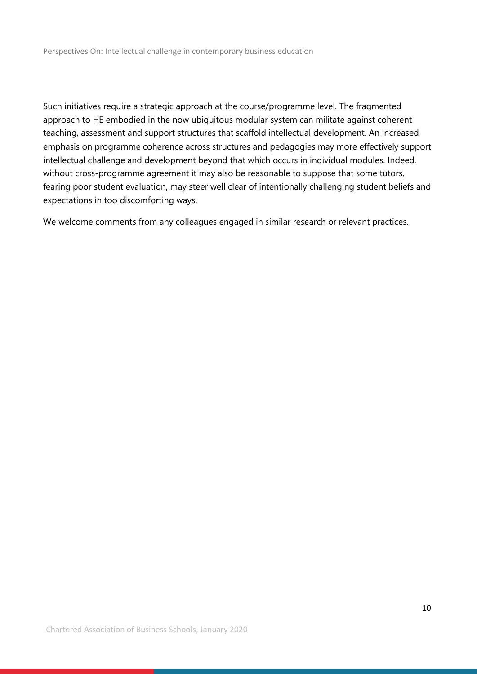Such initiatives require a strategic approach at the course/programme level. The fragmented approach to HE embodied in the now ubiquitous modular system can militate against coherent teaching, assessment and support structures that scaffold intellectual development. An increased emphasis on programme coherence across structures and pedagogies may more effectively support intellectual challenge and development beyond that which occurs in individual modules. Indeed, without cross-programme agreement it may also be reasonable to suppose that some tutors, fearing poor student evaluation, may steer well clear of intentionally challenging student beliefs and expectations in too discomforting ways.

We welcome comments from any colleagues engaged in similar research or relevant practices.